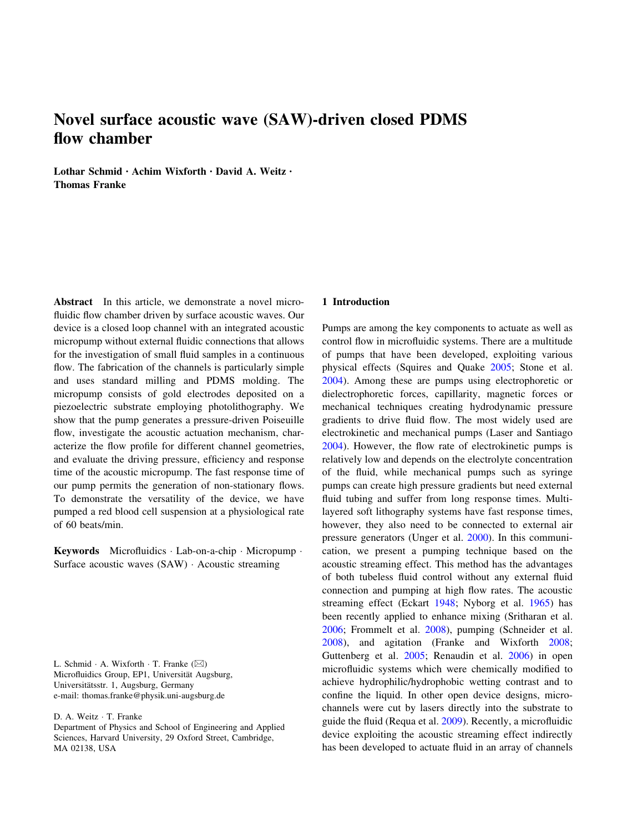# Novel surface acoustic wave (SAW)-driven closed PDMS flow chamber

Lothar Schmid • Achim Wixforth • David A. Weitz • Thomas Franke

Abstract In this article, we demonstrate a novel microfluidic flow chamber driven by surface acoustic waves. Our device is a closed loop channel with an integrated acoustic micropump without external fluidic connections that allows for the investigation of small fluid samples in a continuous flow. The fabrication of the channels is particularly simple and uses standard milling and PDMS molding. The micropump consists of gold electrodes deposited on a piezoelectric substrate employing photolithography. We show that the pump generates a pressure-driven Poiseuille flow, investigate the acoustic actuation mechanism, characterize the flow profile for different channel geometries, and evaluate the driving pressure, efficiency and response time of the acoustic micropump. The fast response time of our pump permits the generation of non-stationary flows. To demonstrate the versatility of the device, we have pumped a red blood cell suspension at a physiological rate of 60 beats/min.

Keywords Microfluidics - Lab-on-a-chip - Micropump - Surface acoustic waves (SAW) - Acoustic streaming

L. Schmid  $\cdot$  A. Wixforth  $\cdot$  T. Franke ( $\boxtimes$ ) Microfluidics Group, EP1, Universität Augsburg, Universitätsstr. 1, Augsburg, Germany e-mail: thomas.franke@physik.uni-augsburg.de

D. A. Weitz · T. Franke

Department of Physics and School of Engineering and Applied Sciences, Harvard University, 29 Oxford Street, Cambridge, MA 02138, USA

#### 1 Introduction

Pumps are among the key components to actuate as well as control flow in microfluidic systems. There are a multitude of pumps that have been developed, exploiting various physical effects (Squires and Quake [2005](#page-6-0); Stone et al. [2004](#page-6-0)). Among these are pumps using electrophoretic or dielectrophoretic forces, capillarity, magnetic forces or mechanical techniques creating hydrodynamic pressure gradients to drive fluid flow. The most widely used are electrokinetic and mechanical pumps (Laser and Santiago [2004](#page-6-0)). However, the flow rate of electrokinetic pumps is relatively low and depends on the electrolyte concentration of the fluid, while mechanical pumps such as syringe pumps can create high pressure gradients but need external fluid tubing and suffer from long response times. Multilayered soft lithography systems have fast response times, however, they also need to be connected to external air pressure generators (Unger et al. [2000\)](#page-6-0). In this communication, we present a pumping technique based on the acoustic streaming effect. This method has the advantages of both tubeless fluid control without any external fluid connection and pumping at high flow rates. The acoustic streaming effect (Eckart [1948;](#page-5-0) Nyborg et al. [1965\)](#page-6-0) has been recently applied to enhance mixing (Sritharan et al. [2006](#page-6-0); Frommelt et al. [2008\)](#page-5-0), pumping (Schneider et al. [2008](#page-6-0)), and agitation (Franke and Wixforth [2008](#page-5-0); Guttenberg et al. [2005;](#page-5-0) Renaudin et al. [2006](#page-6-0)) in open microfluidic systems which were chemically modified to achieve hydrophilic/hydrophobic wetting contrast and to confine the liquid. In other open device designs, microchannels were cut by lasers directly into the substrate to guide the fluid (Requa et al. [2009\)](#page-6-0). Recently, a microfluidic device exploiting the acoustic streaming effect indirectly has been developed to actuate fluid in an array of channels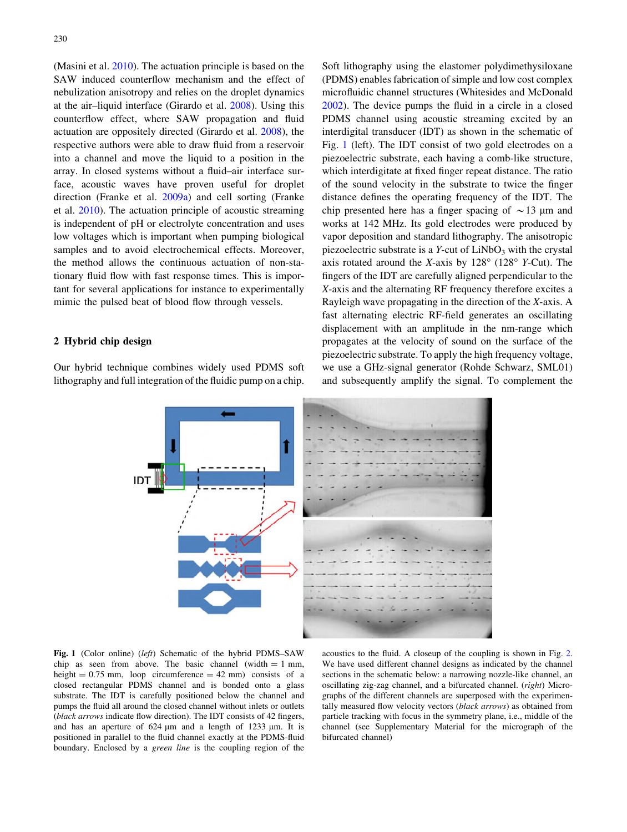<span id="page-1-0"></span>(Masini et al. [2010](#page-6-0)). The actuation principle is based on the SAW induced counterflow mechanism and the effect of nebulization anisotropy and relies on the droplet dynamics at the air–liquid interface (Girardo et al. [2008\)](#page-5-0). Using this counterflow effect, where SAW propagation and fluid actuation are oppositely directed (Girardo et al. [2008\)](#page-5-0), the respective authors were able to draw fluid from a reservoir into a channel and move the liquid to a position in the array. In closed systems without a fluid–air interface surface, acoustic waves have proven useful for droplet direction (Franke et al. [2009a\)](#page-5-0) and cell sorting (Franke et al. [2010\)](#page-5-0). The actuation principle of acoustic streaming is independent of pH or electrolyte concentration and uses low voltages which is important when pumping biological samples and to avoid electrochemical effects. Moreover, the method allows the continuous actuation of non-stationary fluid flow with fast response times. This is important for several applications for instance to experimentally mimic the pulsed beat of blood flow through vessels.

# 2 Hybrid chip design

Our hybrid technique combines widely used PDMS soft lithography and full integration of the fluidic pump on a chip. Soft lithography using the elastomer polydimethysiloxane (PDMS) enables fabrication of simple and low cost complex microfluidic channel structures (Whitesides and McDonald [2002](#page-6-0)). The device pumps the fluid in a circle in a closed PDMS channel using acoustic streaming excited by an interdigital transducer (IDT) as shown in the schematic of Fig. 1 (left). The IDT consist of two gold electrodes on a piezoelectric substrate, each having a comb-like structure, which interdigitate at fixed finger repeat distance. The ratio of the sound velocity in the substrate to twice the finger distance defines the operating frequency of the IDT. The chip presented here has a finger spacing of  $\sim$ 13 µm and works at 142 MHz. Its gold electrodes were produced by vapor deposition and standard lithography. The anisotropic piezoelectric substrate is a  $Y$ -cut of  $LiNbO<sub>3</sub>$  with the crystal axis rotated around the X-axis by  $128^{\circ}$  (128 $^{\circ}$  Y-Cut). The fingers of the IDT are carefully aligned perpendicular to the X-axis and the alternating RF frequency therefore excites a Rayleigh wave propagating in the direction of the X-axis. A fast alternating electric RF-field generates an oscillating displacement with an amplitude in the nm-range which propagates at the velocity of sound on the surface of the piezoelectric substrate. To apply the high frequency voltage, we use a GHz-signal generator (Rohde Schwarz, SML01) and subsequently amplify the signal. To complement the



Fig. 1 (Color online) (left) Schematic of the hybrid PDMS-SAW chip as seen from above. The basic channel (width  $= 1$  mm, height  $= 0.75$  mm, loop circumference  $= 42$  mm) consists of a closed rectangular PDMS channel and is bonded onto a glass substrate. The IDT is carefully positioned below the channel and pumps the fluid all around the closed channel without inlets or outlets (black arrows indicate flow direction). The IDT consists of 42 fingers, and has an aperture of  $624 \mu m$  and a length of  $1233 \mu m$ . It is positioned in parallel to the fluid channel exactly at the PDMS-fluid boundary. Enclosed by a green line is the coupling region of the

acoustics to the fluid. A closeup of the coupling is shown in Fig. [2](#page-2-0). We have used different channel designs as indicated by the channel sections in the schematic below: a narrowing nozzle-like channel, an oscillating zig-zag channel, and a bifurcated channel. (right) Micrographs of the different channels are superposed with the experimentally measured flow velocity vectors (black arrows) as obtained from particle tracking with focus in the symmetry plane, i.e., middle of the channel (see Supplementary Material for the micrograph of the bifurcated channel)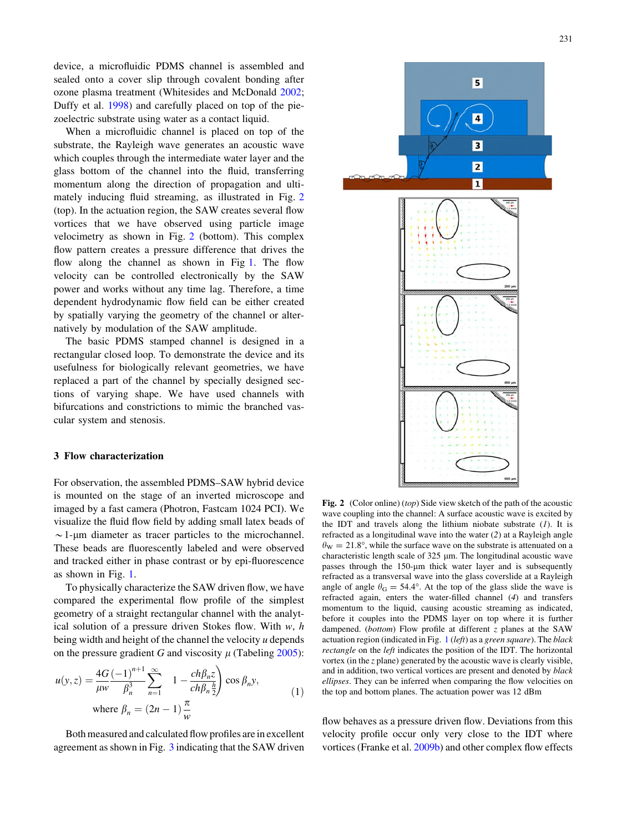<span id="page-2-0"></span>device, a microfluidic PDMS channel is assembled and sealed onto a cover slip through covalent bonding after ozone plasma treatment (Whitesides and McDonald [2002](#page-6-0); Duffy et al. [1998](#page-5-0)) and carefully placed on top of the piezoelectric substrate using water as a contact liquid.

When a microfluidic channel is placed on top of the substrate, the Rayleigh wave generates an acoustic wave which couples through the intermediate water layer and the glass bottom of the channel into the fluid, transferring momentum along the direction of propagation and ultimately inducing fluid streaming, as illustrated in Fig. 2 (top). In the actuation region, the SAW creates several flow vortices that we have observed using particle image velocimetry as shown in Fig. 2 (bottom). This complex flow pattern creates a pressure difference that drives the flow along the channel as shown in Fig [1](#page-1-0). The flow velocity can be controlled electronically by the SAW power and works without any time lag. Therefore, a time dependent hydrodynamic flow field can be either created by spatially varying the geometry of the channel or alternatively by modulation of the SAW amplitude.

The basic PDMS stamped channel is designed in a rectangular closed loop. To demonstrate the device and its usefulness for biologically relevant geometries, we have replaced a part of the channel by specially designed sections of varying shape. We have used channels with bifurcations and constrictions to mimic the branched vascular system and stenosis.

# 3 Flow characterization

For observation, the assembled PDMS–SAW hybrid device is mounted on the stage of an inverted microscope and imaged by a fast camera (Photron, Fastcam 1024 PCI). We visualize the fluid flow field by adding small latex beads of  $\sim$  1-um diameter as tracer particles to the microchannel. These beads are fluorescently labeled and were observed and tracked either in phase contrast or by epi-fluorescence as shown in Fig. [1](#page-1-0).

To physically characterize the SAW driven flow, we have compared the experimental flow profile of the simplest geometry of a straight rectangular channel with the analytical solution of a pressure driven Stokes flow. With  $w$ ,  $h$ being width and height of the channel the velocity u depends on the pressure gradient G and viscosity  $\mu$  (Tabeling [2005](#page-6-0)):

$$
u(y, z) = \frac{4G}{\mu w} \frac{(-1)^{n+1}}{\beta_n^3} \sum_{n=1}^{\infty} 1 - \frac{ch\beta_n z}{ch\beta_n \frac{h}{2}} \cos \beta_n y,
$$
  
where  $\beta_n = (2n - 1) \frac{\pi}{w}$  (1)

Both measured and calculated flow profiles are in excellent agreement asshown in Fig. [3](#page-3-0) indicating that the SAW driven

Fig. 2 (Color online) (top) Side view sketch of the path of the acoustic wave coupling into the channel: A surface acoustic wave is excited by the IDT and travels along the lithium niobate substrate  $(1)$ . It is refracted as a longitudinal wave into the water (2) at a Rayleigh angle  $\theta_{\rm W} = 21.8^{\circ}$ , while the surface wave on the substrate is attenuated on a characteristic length scale of  $325 \mu m$ . The longitudinal acoustic wave passes through the 150-um thick water layer and is subsequently refracted as a transversal wave into the glass coverslide at a Rayleigh angle of angle  $\theta$ <sub>G</sub> = 54.4°. At the top of the glass slide the wave is refracted again, enters the water-filled channel (4) and transfers momentum to the liquid, causing acoustic streaming as indicated, before it couples into the PDMS layer on top where it is further dampened. (bottom) Flow profile at different z planes at the SAW actuation region (indicated in Fig.  $1$  (left) as a green square). The black rectangle on the left indicates the position of the IDT. The horizontal vortex (in the z plane) generated by the acoustic wave is clearly visible, and in addition, two vertical vortices are present and denoted by black ellipses. They can be inferred when comparing the flow velocities on the top and bottom planes. The actuation power was 12 dBm

flow behaves as a pressure driven flow. Deviations from this velocity profile occur only very close to the IDT where vortices (Franke et al. [2009b\)](#page-5-0) and other complex flow effects

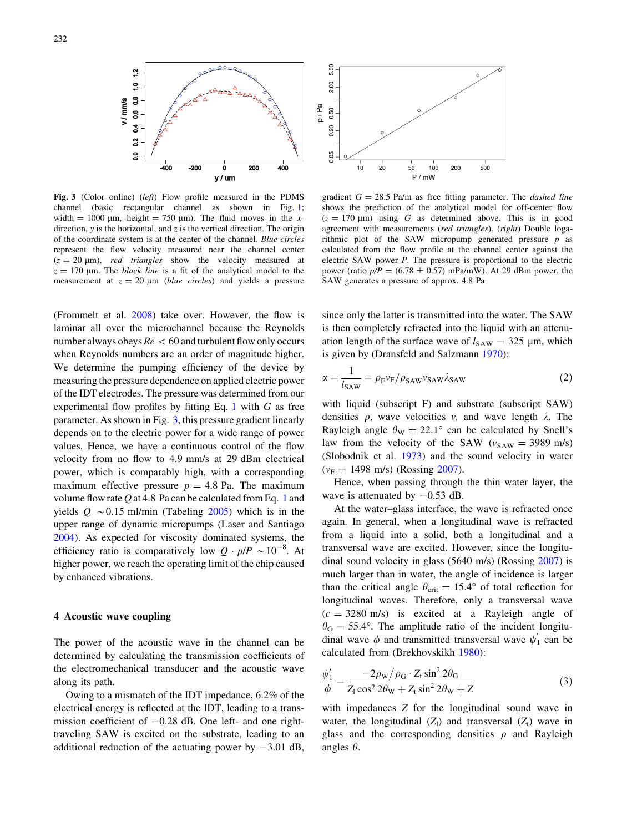<span id="page-3-0"></span>

Fig. 3 (Color online) (left) Flow profile measured in the PDMS channel (basic rectangular channel as shown in Fig. [1;](#page-1-0) width = 1000  $\mu$ m, height = 750  $\mu$ m). The fluid moves in the xdirection,  $y$  is the horizontal, and  $z$  is the vertical direction. The origin of the coordinate system is at the center of the channel. Blue circles represent the flow velocity measured near the channel center  $(z = 20 \text{ }\mu\text{m})$ , red triangles show the velocity measured at  $z = 170$  µm. The *black line* is a fit of the analytical model to the measurement at  $z = 20 \mu m$  (*blue circles*) and yields a pressure

(Frommelt et al. [2008\)](#page-5-0) take over. However, the flow is laminar all over the microchannel because the Reynolds number always obeys  $Re < 60$  and turbulent flow only occurs when Reynolds numbers are an order of magnitude higher. We determine the pumping efficiency of the device by measuring the pressure dependence on applied electric power of the IDT electrodes. The pressure was determined from our experimental flow profiles by fitting Eq. [1](#page-2-0) with  $G$  as free parameter. As shown in Fig. 3, this pressure gradient linearly depends on to the electric power for a wide range of power values. Hence, we have a continuous control of the flow velocity from no flow to 4.9 mm/s at 29 dBm electrical power, which is comparably high, with a corresponding maximum effective pressure  $p = 4.8$  Pa. The maximum volume flow rate  $Q$  at 4.8 Pa can be calculated from Eq. [1](#page-2-0) and yields  $Q \sim 0.15$  ml/min (Tabeling [2005](#page-6-0)) which is in the upper range of dynamic micropumps (Laser and Santiago [2004\)](#page-6-0). As expected for viscosity dominated systems, the efficiency ratio is comparatively low  $Q \cdot p/P \sim 10^{-8}$ . At higher power, we reach the operating limit of the chip caused by enhanced vibrations.

# 4 Acoustic wave coupling

The power of the acoustic wave in the channel can be determined by calculating the transmission coefficients of the electromechanical transducer and the acoustic wave along its path.

Owing to a mismatch of the IDT impedance, 6.2% of the electrical energy is reflected at the IDT, leading to a transmission coefficient of  $-0.28$  dB. One left- and one righttraveling SAW is excited on the substrate, leading to an additional reduction of the actuating power by  $-3.01$  dB,



gradient  $G = 28.5$  Pa/m as free fitting parameter. The *dashed line* shows the prediction of the analytical model for off-center flow  $(z = 170 \text{ }\mu\text{m})$  using G as determined above. This is in good agreement with measurements (red triangles). (right) Double logarithmic plot of the SAW micropump generated pressure  $p$  as calculated from the flow profile at the channel center against the electric SAW power P. The pressure is proportional to the electric power (ratio  $p/P = (6.78 \pm 0.57)$  mPa/mW). At 29 dBm power, the SAW generates a pressure of approx. 4.8 Pa

since only the latter is transmitted into the water. The SAW is then completely refracted into the liquid with an attenuation length of the surface wave of  $l_{SAW} = 325 \mu m$ , which is given by (Dransfeld and Salzmann [1970\)](#page-5-0):

$$
\alpha = \frac{1}{l_{SAW}} = \rho_{\rm F} v_{\rm F} / \rho_{SAW} v_{SAW} \lambda_{SAW}
$$
 (2)

with liquid (subscript F) and substrate (subscript SAW) densities  $\rho$ , wave velocities v, and wave length  $\lambda$ . The Rayleigh angle  $\theta_{\rm W} = 22.1^{\circ}$  can be calculated by Snell's law from the velocity of the SAW ( $v_{SAW} = 3989$  m/s) (Slobodnik et al. [1973](#page-6-0)) and the sound velocity in water  $(v_F = 1498 \text{ m/s})$  (Rossing [2007\)](#page-6-0).

Hence, when passing through the thin water layer, the wave is attenuated by  $-0.53$  dB.

At the water–glass interface, the wave is refracted once again. In general, when a longitudinal wave is refracted from a liquid into a solid, both a longitudinal and a transversal wave are excited. However, since the longitudinal sound velocity in glass (5640 m/s) (Rossing [2007](#page-6-0)) is much larger than in water, the angle of incidence is larger than the critical angle  $\theta_{\text{crit}} = 15.4^{\circ}$  of total reflection for longitudinal waves. Therefore, only a transversal wave  $(c = 3280 \text{ m/s})$  is excited at a Rayleigh angle of  $\theta_G = 55.4^\circ$ . The amplitude ratio of the incident longitudinal wave  $\phi$  and transmitted transversal wave  $\psi'_1$  can be calculated from (Brekhovskikh [1980\)](#page-5-0):

$$
\frac{\psi_1'}{\phi} = \frac{-2\rho_{\rm W}/\rho_{\rm G} \cdot Z_{\rm t} \sin^2 2\theta_{\rm G}}{Z_{\rm t} \cos^2 2\theta_{\rm W} + Z_{\rm t} \sin^2 2\theta_{\rm W} + Z}
$$
(3)

with impedances Z for the longitudinal sound wave in water, the longitudinal  $(Z_1)$  and transversal  $(Z_t)$  wave in glass and the corresponding densities  $\rho$  and Rayleigh angles  $\theta$ .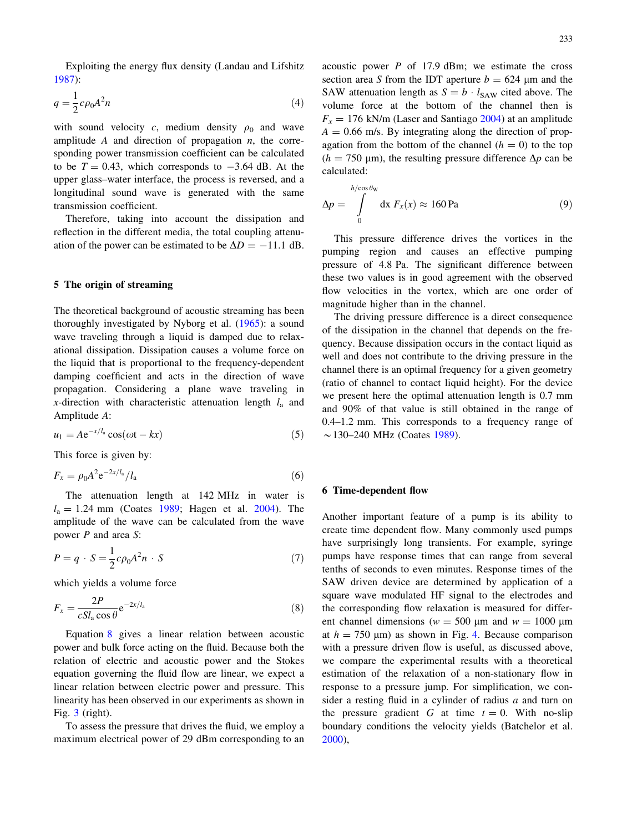<span id="page-4-0"></span>Exploiting the energy flux density (Landau and Lifshitz [1987\)](#page-6-0):

$$
q = \frac{1}{2}c\rho_0 A^2 n \tag{4}
$$

with sound velocity c, medium density  $\rho_0$  and wave amplitude A and direction of propagation  $n$ , the corresponding power transmission coefficient can be calculated to be  $T = 0.43$ , which corresponds to  $-3.64$  dB. At the upper glass–water interface, the process is reversed, and a longitudinal sound wave is generated with the same transmission coefficient.

Therefore, taking into account the dissipation and reflection in the different media, the total coupling attenuation of the power can be estimated to be  $\Delta D = -11.1$  dB.

## 5 The origin of streaming

The theoretical background of acoustic streaming has been thoroughly investigated by Nyborg et al. [\(1965](#page-6-0)): a sound wave traveling through a liquid is damped due to relaxational dissipation. Dissipation causes a volume force on the liquid that is proportional to the frequency-dependent damping coefficient and acts in the direction of wave propagation. Considering a plane wave traveling in x-direction with characteristic attenuation length  $l_a$  and Amplitude A:

$$
u_1 = Ae^{-x/l_a} \cos(\omega t - kx) \tag{5}
$$

This force is given by:

$$
F_x = \rho_0 A^2 e^{-2x/l_a} / l_a \tag{6}
$$

The attenuation length at 142 MHz in water is  $l_a = 1.24$  mm (Coates [1989;](#page-5-0) Hagen et al. [2004\)](#page-6-0). The amplitude of the wave can be calculated from the wave power P and area S:

$$
P = q \cdot S = \frac{1}{2}c\rho_0 A^2 n \cdot S \tag{7}
$$

which yields a volume force

$$
F_x = \frac{2P}{cSl_a \cos \theta} e^{-2x/l_a}
$$
\n(8)

Equation 8 gives a linear relation between acoustic power and bulk force acting on the fluid. Because both the relation of electric and acoustic power and the Stokes equation governing the fluid flow are linear, we expect a linear relation between electric power and pressure. This linearity has been observed in our experiments as shown in Fig. [3](#page-3-0) (right).

To assess the pressure that drives the fluid, we employ a maximum electrical power of 29 dBm corresponding to an acoustic power  $P$  of 17.9 dBm; we estimate the cross section area S from the IDT aperture  $b = 624$  µm and the SAW attenuation length as  $S = b \cdot l_{SAW}$  cited above. The volume force at the bottom of the channel then is  $F_x = 176$  kN/m (Laser and Santiago [2004](#page-6-0)) at an amplitude  $A = 0.66$  m/s. By integrating along the direction of propagation from the bottom of the channel  $(h = 0)$  to the top  $(h = 750 \text{ }\mu\text{m})$ , the resulting pressure difference  $\Delta p$  can be calculated:

$$
\Delta p = \int_{0}^{h/\cos \theta_{\rm W}} dx F_x(x) \approx 160 \,\text{Pa} \tag{9}
$$

This pressure difference drives the vortices in the pumping region and causes an effective pumping pressure of 4.8 Pa. The significant difference between these two values is in good agreement with the observed flow velocities in the vortex, which are one order of magnitude higher than in the channel.

The driving pressure difference is a direct consequence of the dissipation in the channel that depends on the frequency. Because dissipation occurs in the contact liquid as well and does not contribute to the driving pressure in the channel there is an optimal frequency for a given geometry (ratio of channel to contact liquid height). For the device we present here the optimal attenuation length is 0.7 mm and 90% of that value is still obtained in the range of 0.4–1.2 mm. This corresponds to a frequency range of  $\sim$ 130–240 MHz (Coates [1989](#page-5-0)).

## 6 Time-dependent flow

Another important feature of a pump is its ability to create time dependent flow. Many commonly used pumps have surprisingly long transients. For example, syringe pumps have response times that can range from several tenths of seconds to even minutes. Response times of the SAW driven device are determined by application of a square wave modulated HF signal to the electrodes and the corresponding flow relaxation is measured for different channel dimensions ( $w = 500 \mu m$  and  $w = 1000 \mu m$ at  $h = 750 \text{ }\mu\text{m}$  as shown in Fig. [4.](#page-5-0) Because comparison with a pressure driven flow is useful, as discussed above, we compare the experimental results with a theoretical estimation of the relaxation of a non-stationary flow in response to a pressure jump. For simplification, we consider a resting fluid in a cylinder of radius  $a$  and turn on the pressure gradient G at time  $t = 0$ . With no-slip boundary conditions the velocity yields (Batchelor et al. [2000](#page-5-0)),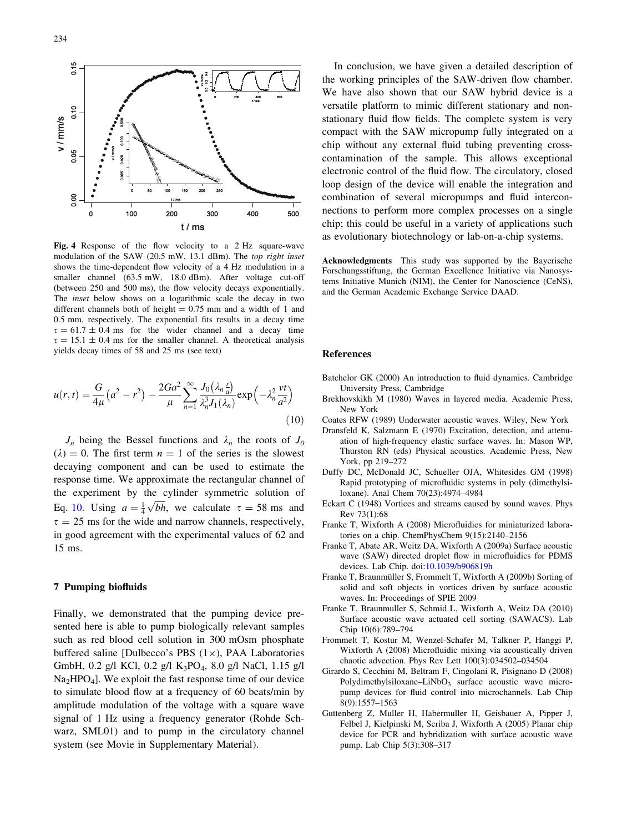<span id="page-5-0"></span>

Fig. 4 Response of the flow velocity to a 2 Hz square-wave modulation of the SAW (20.5 mW, 13.1 dBm). The top right inset shows the time-dependent flow velocity of a 4 Hz modulation in a smaller channel (63.5 mW, 18.0 dBm). After voltage cut-off (between 250 and 500 ms), the flow velocity decays exponentially. The inset below shows on a logarithmic scale the decay in two different channels both of height  $= 0.75$  mm and a width of 1 and 0.5 mm, respectively. The exponential fits results in a decay time  $\tau = 61.7 \pm 0.4$  ms for the wider channel and a decay time  $\tau = 15.1 \pm 0.4$  ms for the smaller channel. A theoretical analysis yields decay times of 58 and 25 ms (see text)

$$
u(r,t) = \frac{G}{4\mu} (a^2 - r^2) - \frac{2Ga^2}{\mu} \sum_{n=1}^{\infty} \frac{J_0(\lambda_n \frac{r}{a})}{\lambda_n^3 J_1(\lambda_n)} \exp\left(-\lambda_n^2 \frac{vt}{a^2}\right)
$$
(10)

 $J_n$  being the Bessel functions and  $\lambda_n$  the roots of  $J_0$  $(\lambda) = 0$ . The first term  $n = 1$  of the series is the slowest decaying component and can be used to estimate the response time. We approximate the rectangular channel of the experiment by the cylinder symmetric solution of Eq. [10.](#page-4-0) Using  $a = \frac{1}{4}$  $\overrightarrow{bh}$ , we calculate  $\tau = 58$  ms and  $\tau = 25$  ms for the wide and narrow channels, respectively, in good agreement with the experimental values of 62 and 15 ms.

#### 7 Pumping biofluids

Finally, we demonstrated that the pumping device presented here is able to pump biologically relevant samples such as red blood cell solution in 300 mOsm phosphate buffered saline [Dulbecco's PBS  $(1\times)$ , PAA Laboratories GmbH, 0.2 g/l KCl, 0.2 g/l K<sub>3</sub>PO<sub>4</sub>, 8.0 g/l NaCl, 1.15 g/l  $Na<sub>2</sub>HPO<sub>4</sub>$ . We exploit the fast response time of our device to simulate blood flow at a frequency of 60 beats/min by amplitude modulation of the voltage with a square wave signal of 1 Hz using a frequency generator (Rohde Schwarz, SML01) and to pump in the circulatory channel system (see Movie in Supplementary Material).

In conclusion, we have given a detailed description of the working principles of the SAW-driven flow chamber. We have also shown that our SAW hybrid device is a versatile platform to mimic different stationary and nonstationary fluid flow fields. The complete system is very compact with the SAW micropump fully integrated on a chip without any external fluid tubing preventing crosscontamination of the sample. This allows exceptional electronic control of the fluid flow. The circulatory, closed loop design of the device will enable the integration and combination of several micropumps and fluid interconnections to perform more complex processes on a single chip; this could be useful in a variety of applications such as evolutionary biotechnology or lab-on-a-chip systems.

Acknowledgments This study was supported by the Bayerische Forschungsstiftung, the German Excellence Initiative via Nanosystems Initiative Munich (NIM), the Center for Nanoscience (CeNS), and the German Academic Exchange Service DAAD.

### References

- Batchelor GK (2000) An introduction to fluid dynamics. Cambridge University Press, Cambridge
- Brekhovskikh M (1980) Waves in layered media. Academic Press, New York
- Coates RFW (1989) Underwater acoustic waves. Wiley, New York
- Dransfeld K, Salzmann E (1970) Excitation, detection, and attenuation of high-frequency elastic surface waves. In: Mason WP, Thurston RN (eds) Physical acoustics. Academic Press, New York, pp 219–272
- Duffy DC, McDonald JC, Schueller OJA, Whitesides GM (1998) Rapid prototyping of microfluidic systems in poly (dimethylsiloxane). Anal Chem 70(23):4974–4984
- Eckart C (1948) Vortices and streams caused by sound waves. Phys Rev 73(1):68
- Franke T, Wixforth A (2008) Microfluidics for miniaturized laboratories on a chip. ChemPhysChem 9(15):2140–2156
- Franke T, Abate AR, Weitz DA, Wixforth A (2009a) Surface acoustic wave (SAW) directed droplet flow in microfluidics for PDMS devices. Lab Chip. doi[:10.1039/b906819h](http://dx.doi.org/10.1039/b906819h)
- Franke T, Braunmüller S, Frommelt T, Wixforth A (2009b) Sorting of solid and soft objects in vortices driven by surface acoustic waves. In: Proceedings of SPIE 2009
- Franke T, Braunmuller S, Schmid L, Wixforth A, Weitz DA (2010) Surface acoustic wave actuated cell sorting (SAWACS). Lab Chip 10(6):789–794
- Frommelt T, Kostur M, Wenzel-Schafer M, Talkner P, Hanggi P, Wixforth A (2008) Microfluidic mixing via acoustically driven chaotic advection. Phys Rev Lett 100(3):034502–034504
- Girardo S, Cecchini M, Beltram F, Cingolani R, Pisignano D (2008) Polydimethylsiloxane–LiNbO<sub>3</sub> surface acoustic wave micropump devices for fluid control into microchannels. Lab Chip 8(9):1557–1563
- Guttenberg Z, Muller H, Habermuller H, Geisbauer A, Pipper J, Felbel J, Kielpinski M, Scriba J, Wixforth A (2005) Planar chip device for PCR and hybridization with surface acoustic wave pump. Lab Chip 5(3):308–317